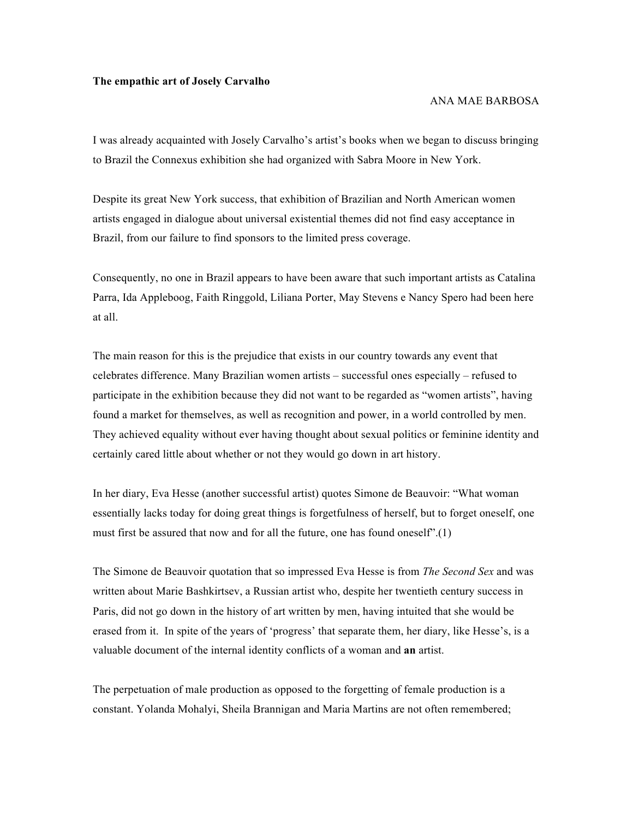## **The empathic art of Josely Carvalho**

## ANA MAE BARBOSA

I was already acquainted with Josely Carvalho's artist's books when we began to discuss bringing to Brazil the Connexus exhibition she had organized with Sabra Moore in New York.

Despite its great New York success, that exhibition of Brazilian and North American women artists engaged in dialogue about universal existential themes did not find easy acceptance in Brazil, from our failure to find sponsors to the limited press coverage.

Consequently, no one in Brazil appears to have been aware that such important artists as Catalina Parra, Ida Appleboog, Faith Ringgold, Liliana Porter, May Stevens e Nancy Spero had been here at all.

The main reason for this is the prejudice that exists in our country towards any event that celebrates difference. Many Brazilian women artists – successful ones especially – refused to participate in the exhibition because they did not want to be regarded as "women artists", having found a market for themselves, as well as recognition and power, in a world controlled by men. They achieved equality without ever having thought about sexual politics or feminine identity and certainly cared little about whether or not they would go down in art history.

In her diary, Eva Hesse (another successful artist) quotes Simone de Beauvoir: "What woman essentially lacks today for doing great things is forgetfulness of herself, but to forget oneself, one must first be assured that now and for all the future, one has found oneself".(1)

The Simone de Beauvoir quotation that so impressed Eva Hesse is from *The Second Sex* and was written about Marie Bashkirtsev, a Russian artist who, despite her twentieth century success in Paris, did not go down in the history of art written by men, having intuited that she would be erased from it. In spite of the years of 'progress' that separate them, her diary, like Hesse's, is a valuable document of the internal identity conflicts of a woman and **an** artist.

The perpetuation of male production as opposed to the forgetting of female production is a constant. Yolanda Mohalyi, Sheila Brannigan and Maria Martins are not often remembered;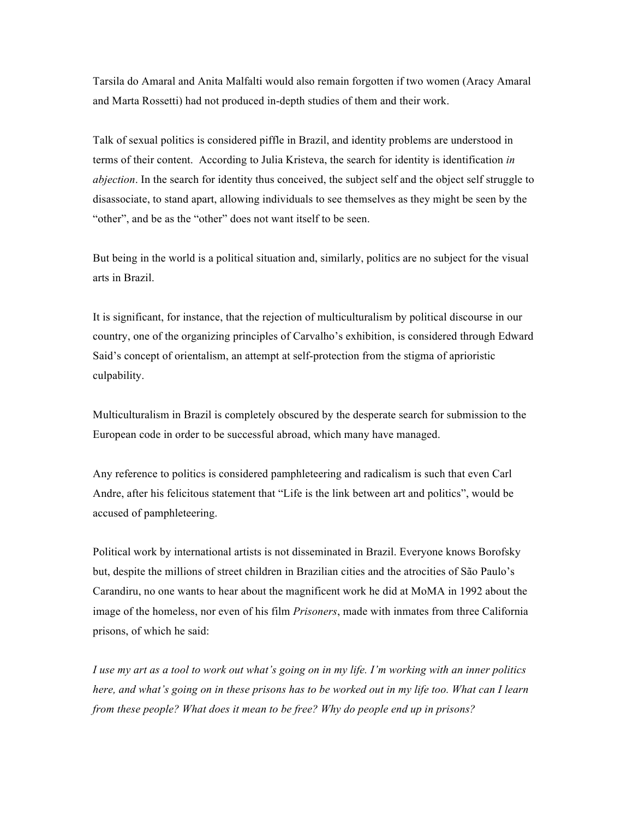Tarsila do Amaral and Anita Malfalti would also remain forgotten if two women (Aracy Amaral and Marta Rossetti) had not produced in-depth studies of them and their work.

Talk of sexual politics is considered piffle in Brazil, and identity problems are understood in terms of their content. According to Julia Kristeva, the search for identity is identification *in abjection*. In the search for identity thus conceived, the subject self and the object self struggle to disassociate, to stand apart, allowing individuals to see themselves as they might be seen by the "other", and be as the "other" does not want itself to be seen.

But being in the world is a political situation and, similarly, politics are no subject for the visual arts in Brazil.

It is significant, for instance, that the rejection of multiculturalism by political discourse in our country, one of the organizing principles of Carvalho's exhibition, is considered through Edward Said's concept of orientalism, an attempt at self-protection from the stigma of aprioristic culpability.

Multiculturalism in Brazil is completely obscured by the desperate search for submission to the European code in order to be successful abroad, which many have managed.

Any reference to politics is considered pamphleteering and radicalism is such that even Carl Andre, after his felicitous statement that "Life is the link between art and politics", would be accused of pamphleteering.

Political work by international artists is not disseminated in Brazil. Everyone knows Borofsky but, despite the millions of street children in Brazilian cities and the atrocities of São Paulo's Carandiru, no one wants to hear about the magnificent work he did at MoMA in 1992 about the image of the homeless, nor even of his film *Prisoners*, made with inmates from three California prisons, of which he said:

*I use my art as a tool to work out what's going on in my life. I'm working with an inner politics here, and what's going on in these prisons has to be worked out in my life too. What can I learn from these people? What does it mean to be free? Why do people end up in prisons?*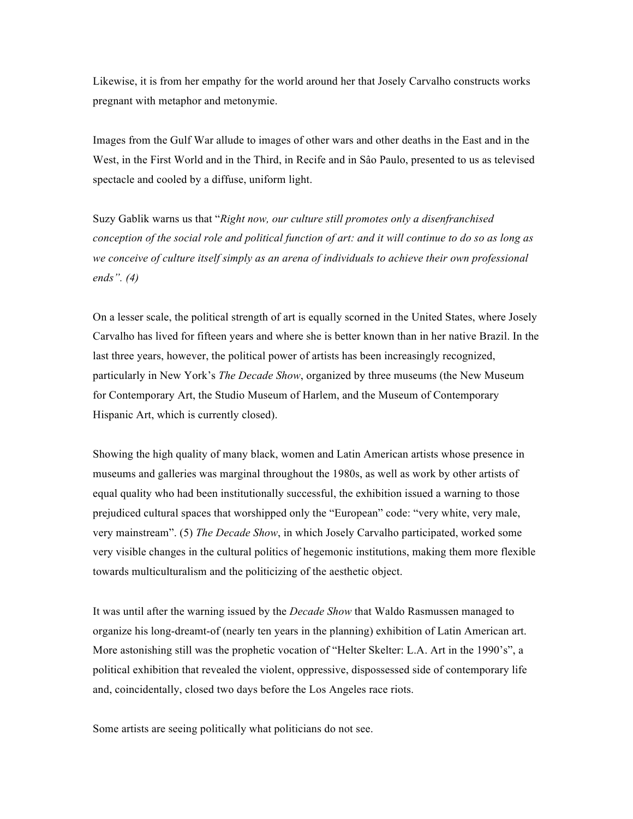Likewise, it is from her empathy for the world around her that Josely Carvalho constructs works pregnant with metaphor and metonymie.

Images from the Gulf War allude to images of other wars and other deaths in the East and in the West, in the First World and in the Third, in Recife and in Sâo Paulo, presented to us as televised spectacle and cooled by a diffuse, uniform light.

Suzy Gablik warns us that "*Right now, our culture still promotes only a disenfranchised conception of the social role and political function of art: and it will continue to do so as long as*  we conceive of culture itself simply as an arena of individuals to achieve their own professional *ends". (4)*

On a lesser scale, the political strength of art is equally scorned in the United States, where Josely Carvalho has lived for fifteen years and where she is better known than in her native Brazil. In the last three years, however, the political power of artists has been increasingly recognized, particularly in New York's *The Decade Show*, organized by three museums (the New Museum for Contemporary Art, the Studio Museum of Harlem, and the Museum of Contemporary Hispanic Art, which is currently closed).

Showing the high quality of many black, women and Latin American artists whose presence in museums and galleries was marginal throughout the 1980s, as well as work by other artists of equal quality who had been institutionally successful, the exhibition issued a warning to those prejudiced cultural spaces that worshipped only the "European" code: "very white, very male, very mainstream". (5) *The Decade Show*, in which Josely Carvalho participated, worked some very visible changes in the cultural politics of hegemonic institutions, making them more flexible towards multiculturalism and the politicizing of the aesthetic object.

It was until after the warning issued by the *Decade Show* that Waldo Rasmussen managed to organize his long-dreamt-of (nearly ten years in the planning) exhibition of Latin American art. More astonishing still was the prophetic vocation of "Helter Skelter: L.A. Art in the 1990's", a political exhibition that revealed the violent, oppressive, dispossessed side of contemporary life and, coincidentally, closed two days before the Los Angeles race riots.

Some artists are seeing politically what politicians do not see.